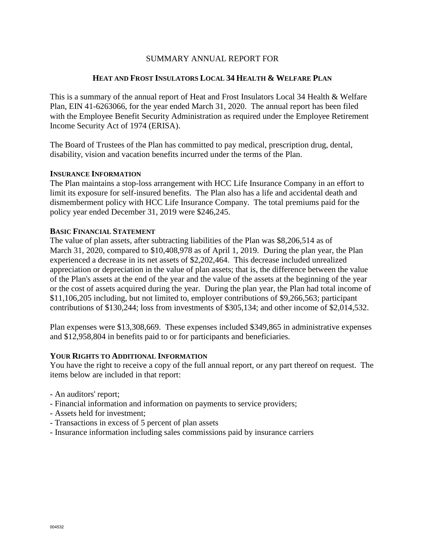# SUMMARY ANNUAL REPORT FOR

## **HEAT AND FROST INSULATORS LOCAL 34 HEALTH & WELFARE PLAN**

This is a summary of the annual report of Heat and Frost Insulators Local 34 Health & Welfare Plan, EIN 41-6263066, for the year ended March 31, 2020. The annual report has been filed with the Employee Benefit Security Administration as required under the Employee Retirement Income Security Act of 1974 (ERISA).

The Board of Trustees of the Plan has committed to pay medical, prescription drug, dental, disability, vision and vacation benefits incurred under the terms of the Plan.

#### **INSURANCE INFORMATION**

The Plan maintains a stop-loss arrangement with HCC Life Insurance Company in an effort to limit its exposure for self-insured benefits. The Plan also has a life and accidental death and dismemberment policy with HCC Life Insurance Company. The total premiums paid for the policy year ended December 31, 2019 were \$246,245.

#### **BASIC FINANCIAL STATEMENT**

The value of plan assets, after subtracting liabilities of the Plan was \$8,206,514 as of March 31, 2020, compared to \$10,408,978 as of April 1, 2019. During the plan year, the Plan experienced a decrease in its net assets of \$2,202,464. This decrease included unrealized appreciation or depreciation in the value of plan assets; that is, the difference between the value of the Plan's assets at the end of the year and the value of the assets at the beginning of the year or the cost of assets acquired during the year. During the plan year, the Plan had total income of \$11,106,205 including, but not limited to, employer contributions of \$9,266,563; participant contributions of \$130,244; loss from investments of \$305,134; and other income of \$2,014,532.

Plan expenses were \$13,308,669. These expenses included \$349,865 in administrative expenses and \$12,958,804 in benefits paid to or for participants and beneficiaries.

### **YOUR RIGHTS TO ADDITIONAL INFORMATION**

You have the right to receive a copy of the full annual report, or any part thereof on request. The items below are included in that report:

- An auditors' report;
- Financial information and information on payments to service providers;
- Assets held for investment;
- Transactions in excess of 5 percent of plan assets
- Insurance information including sales commissions paid by insurance carriers